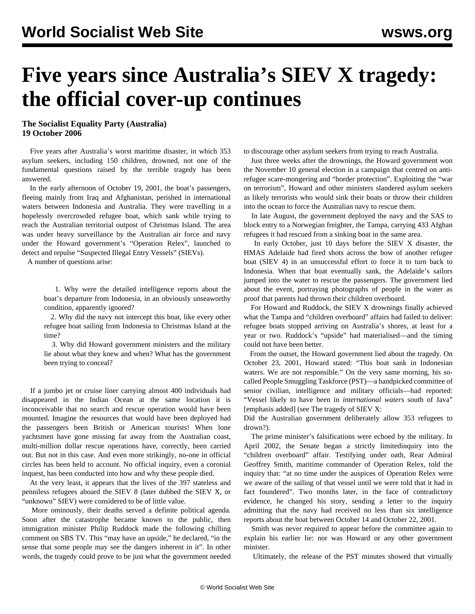## **Five years since Australia's SIEV X tragedy: the official cover-up continues**

## **The Socialist Equality Party (Australia) 19 October 2006**

 Five years after Australia's worst maritime disaster, in which 353 asylum seekers, including 150 children, drowned, not one of the fundamental questions raised by the terrible tragedy has been answered.

 In the early afternoon of October 19, 2001, the boat's passengers, fleeing mainly from Iraq and Afghanistan, perished in international waters between Indonesia and Australia. They were travelling in a hopelessly overcrowded refugee boat, which sank while trying to reach the Australian territorial outpost of Christmas Island. The area was under heavy surveillance by the Australian air force and navy under the Howard government's "Operation Relex", launched to detect and repulse "Suspected Illegal Entry Vessels" (SIEVs).

A number of questions arise:

 1. Why were the detailed intelligence reports about the boat's departure from Indonesia, in an obviously unseaworthy condition, apparently ignored?

 2. Why did the navy not intercept this boat, like every other refugee boat sailing from Indonesia to Christmas Island at the time?

 3. Why did Howard government ministers and the military lie about what they knew and when? What has the government been trying to conceal?

 If a jumbo jet or cruise liner carrying almost 400 individuals had disappeared in the Indian Ocean at the same location it is inconceivable that no search and rescue operation would have been mounted. Imagine the resources that would have been deployed had the passengers been British or American tourists! When lone yachtsmen have gone missing far away from the Australian coast, multi-million dollar rescue operations have, correctly, been carried out. But not in this case. And even more strikingly, no-one in official circles has been held to account. No official inquiry, even a coronial inquest, has been conducted into how and why these people died.

 At the very least, it appears that the lives of the 397 stateless and penniless refugees aboard the SIEV 8 (later dubbed the SIEV X, or "unknown" SIEV) were considered to be of little value.

 More ominously, their deaths served a definite political agenda. Soon after the catastrophe became known to the public, then immigration minister Philip Ruddock made the following chilling comment on SBS TV. This "may have an upside," he declared, "in the sense that some people may see the dangers inherent in it". In other words, the tragedy could prove to be just what the government needed

to discourage other asylum seekers from trying to reach Australia.

 Just three weeks after the drownings, the Howard government won the November 10 general election in a campaign that centred on antirefugee scare-mongering and "border protection". Exploiting the "war on terrorism", Howard and other ministers slandered asylum seekers as likely terrorists who would sink their boats or throw their children into the ocean to force the Australian navy to rescue them.

 In late August, the government deployed the navy and the SAS to block entry to a Norwegian freighter, the Tampa, carrying 433 Afghan refugees it had rescued from a sinking boat in the same area.

 In early October, just 10 days before the SIEV X disaster, the HMAS Adelaide had fired shots across the bow of another refugee boat (SIEV 4) in an unsuccessful effort to force it to turn back to Indonesia. When that boat eventually sank, the Adelaide's sailors jumped into the water to rescue the passengers. The government lied about the event, portraying photographs of people in the water as proof that parents had thrown their children overboard.

 For Howard and Ruddock, the SIEV X drownings finally achieved what the Tampa and "children overboard" affairs had failed to deliver: refugee boats stopped arriving on Australia's shores, at least for a year or two. Ruddock's "upside" had materialised—and the timing could not have been better.

 From the outset, the Howard government lied about the tragedy. On October 23, 2001, Howard stated: "This boat sank in Indonesian waters. We are not responsible." On the very same morning, his socalled People Smuggling Taskforce (PST)—a handpicked committee of senior civilian, intelligence and military officials—had reported: "Vessel likely to have been in *international waters* south of Java" [emphasis added] (see [The tragedy of SIEV X:](../../2002/aug2002/sie1-a13.shtml)

[Did the Australian government deliberately allow 353 refugees to](../../2002/aug2002/sie1-a13.shtml) [drown?\)](../../2002/aug2002/sie1-a13.shtml).

 The prime minister's falsifications were echoed by the military. In April 2002, the Senate began a strictly limitedinquiry into the "children overboard" affair. Testifying under oath, Rear Admiral Geoffrey Smith, maritime commander of Operation Relex, told the inquiry that: "at no time under the auspices of Operation Relex were we aware of the sailing of that vessel until we were told that it had in fact foundered". Two months later, in the face of contradictory evidence, he changed his story, sending a letter to the inquiry admitting that the navy had received no less than six intelligence reports about the boat between October 14 and October 22, 2001.

 Smith was never required to appear before the committee again to explain his earlier lie: nor was Howard or any other government minister.

Ultimately, the release of the PST minutes showed that virtually